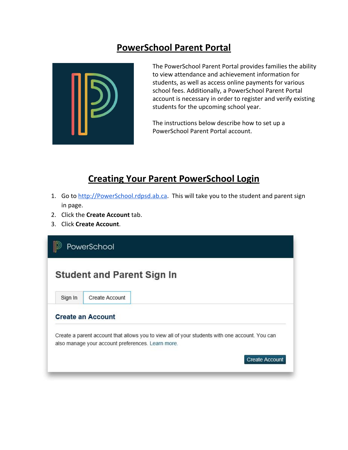## **PowerSchool Parent Portal**



The PowerSchool Parent Portal provides families the ability to view attendance and achievement information for students, as well as access online payments for various school fees. Additionally, a PowerSchool Parent Portal account is necessary in order to register and verify existing students for the upcoming school year.

The instructions below describe how to set up a PowerSchool Parent Portal account.

## **Creating Your Parent PowerSchool Login**

- 1. Go to [http://PowerSchool.rdpsd.ab.ca](http://powerschool.rdpsd.ab.ca/). This will take you to the student and parent sign in page.
- 2. Click the **Create Account** tab.
- 3. Click **Create Account**.

| PowerSchool |                                                                                                                                                     |  |
|-------------|-----------------------------------------------------------------------------------------------------------------------------------------------------|--|
|             | <b>Student and Parent Sign In</b>                                                                                                                   |  |
| Sign In     | Create Account                                                                                                                                      |  |
|             | <b>Create an Account</b>                                                                                                                            |  |
|             | Create a parent account that allows you to view all of your students with one account. You can<br>also manage your account preferences. Learn more. |  |
|             | <b>Create Account</b>                                                                                                                               |  |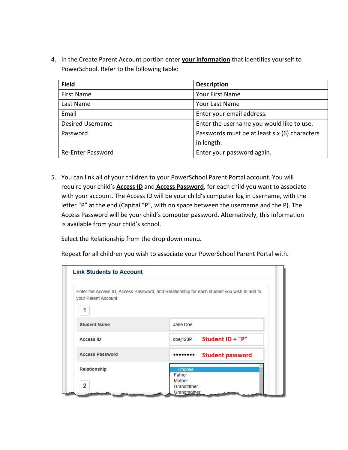4. In the Create Parent Account portion enter **your information** that identifies yourself to PowerSchool. Refer to the following table:

| <b>Field</b>             | <b>Description</b>                            |
|--------------------------|-----------------------------------------------|
| <b>First Name</b>        | Your First Name                               |
| Last Name                | Your Last Name                                |
| Email                    | Enter your email address.                     |
| <b>Desired Username</b>  | Enter the username you would like to use.     |
| Password                 | Passwords must be at least six (6) characters |
|                          | in length.                                    |
| <b>Re-Enter Password</b> | Enter your password again.                    |

5. You can link all of your children to your PowerSchool Parent Portal account. You will require your child's **Access ID** and **Access Password**, for each child you want to associate with your account. The Access ID will be your child's computer log in username, with the letter "P" at the end (Capital "P", with no space between the username and the P). The Access Password will be your child's computer password. Alternatively, this information is available from your child's school.

Select the Relationship from the drop down menu.

Repeat for all children you wish to associate your PowerSchool Parent Portal with.

| <b>Link Students to Account</b> |                                                                                            |
|---------------------------------|--------------------------------------------------------------------------------------------|
| your Parent Account             | Enter the Access ID, Access Password, and Relationship for each student you wish to add to |
| <b>Student Name</b>             | Jane Doe                                                                                   |
| Access ID                       | doej123P Student ID + "P"                                                                  |
| <b>Access Password</b>          | <b>Student password</b><br>                                                                |
| Relationship                    | $-$ Choose<br>Father                                                                       |
| $\overline{2}$                  | Mother<br>Grandfather<br>Grandmother                                                       |